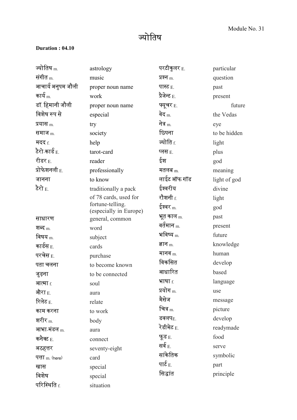## ज्योतिष

## **Duration : 04.10**

| ज्योतिष $m$                | astrology                                 | परटीकुलर <sub>E.</sub> | particular   |
|----------------------------|-------------------------------------------|------------------------|--------------|
| संगीत $m$                  | music                                     | प्रश्न $_{\rm m}$      | question     |
| आचार्य अनुपम जौली          | proper noun name                          | पास्ट $_{E.}$          | past         |
| कार्य $_{\rm m}$           | work                                      | प्रैजेन्ट $_{\rm E.}$  | present      |
| डॉ. हिमानी जौली            | proper noun name                          | फ्यूचर E.              | future       |
| विशेष रूप से               | especial                                  | वेद <sub>m.</sub>      | the Vedas    |
| प्रयास <sub>m.</sub>       | try                                       | नेत्र $_{\rm m}$       | eye          |
| समाज $m$                   | society                                   | छिपना                  | to be hidden |
| मदद f.                     | help                                      | ज्योति f.              | light        |
| टैरो कार्ड $_{\rm E.}$     | tarot-card                                | प्लस $E$ .             | plus         |
| रीडर $_{\rm E.}$           | reader                                    | ईश                     | god          |
| प्रोफेशनली E.              | professionally                            | मतलब $m$               | meaning      |
| जानना                      | to know                                   | लाईट ऑफ गॉड            | light of god |
| टैरो $_{\rm E.}$           | traditionally a pack                      | ईश्वरीय                | divine       |
|                            | of 78 cards, used for                     | रौशनी <sub>f.</sub>    | light        |
|                            | fortune-telling.                          | ईश्वर $_{\rm m}$       | god          |
| साधारण                     | (especially in Europe)<br>general, common | भूत काल <sub>m.</sub>  | past         |
| शब्द $_m$                  | word                                      | वर्तमान <sub>m.</sub>  | present      |
| विषय $_{\rm m}$            | subject                                   | भविष्य $_{\rm m.}$     | future       |
| कार्डस $_{\rm E.}$         | cards                                     | ज्ञान $_{\text{m}}$    | knowledge    |
| परचेस <sub>E.</sub>        | purchase                                  | मानव $m$               | human        |
| पता चलना                   | to become known                           | विकसित                 | develop      |
| जुड़ना                     | to be connected                           | आधारित                 | based        |
| <b>आत्मा</b> f.            | soul                                      | भाषा $f$               | language     |
| औरा <sub>E.</sub>          | aura                                      | प्रयोग <sub>m.</sub>   | use          |
| रिलेट $_{\rm E.}$          | relate                                    | मैसेज                  | message      |
| काम करना                   | to work                                   | चित्र $_{\rm m}$       | picture      |
| शरीर $_{\rm m}$            | body                                      | डवलप $_{E.}$           | develop      |
| आभा मंडल m.                | aura                                      | रेडीमेट E.             | readymade    |
| कनैक्ट $_{\rm E.}$         | connect                                   | फूड $E$                | food         |
| अठहत्तर                    | seventy-eight                             | सर्व $_{E.}$           | serve        |
| पत्ता <sub>m.</sub> (here) | card                                      | सांकेतिक               | symbolic     |
| खास                        | special                                   | पार्ट $_{\rm E.}$      | part         |
| विशेष                      | special                                   | सिद्धांत               | principle    |
| परिस्थिति f.               | situation                                 |                        |              |